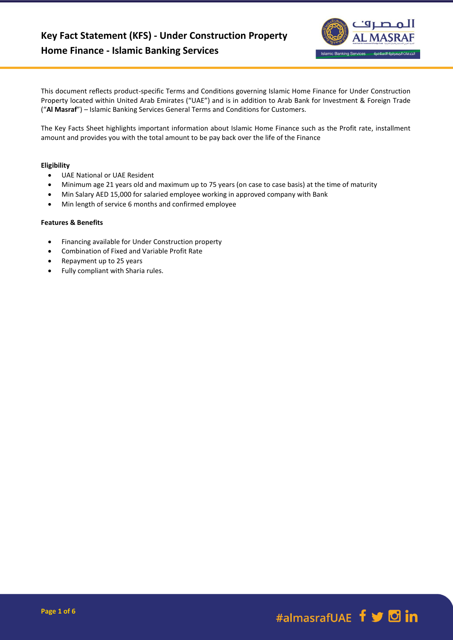

This document reflects product-specific Terms and Conditions governing Islamic Home Finance for Under Construction Property located within United Arab Emirates ("UAE") and is in addition to Arab Bank for Investment & Foreign Trade ("**Al Masraf**") – Islamic Banking Services General Terms and Conditions for Customers.

The Key Facts Sheet highlights important information about Islamic Home Finance such as the Profit rate, installment amount and provides you with the total amount to be pay back over the life of the Finance

# **Eligibility**

- UAE National or UAE Resident
- Minimum age 21 years old and maximum up to 75 years (on case to case basis) at the time of maturity
- Min Salary AED 15,000 for salaried employee working in approved company with Bank
- Min length of service 6 months and confirmed employee

## **Features & Benefits**

- Financing available for Under Construction property
- Combination of Fixed and Variable Profit Rate
- Repayment up to 25 years
- Fully compliant with Sharia rules.

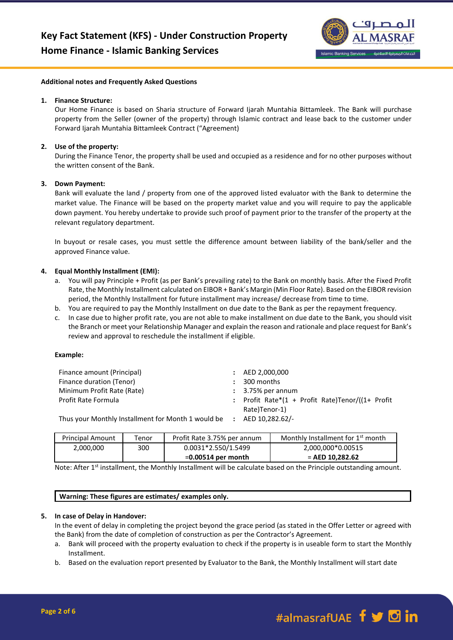

#### **Additional notes and Frequently Asked Questions**

#### **1. Finance Structure:**

Our Home Finance is based on Sharia structure of Forward Ijarah Muntahia Bittamleek. The Bank will purchase property from the Seller (owner of the property) through Islamic contract and lease back to the customer under Forward Ijarah Muntahia Bittamleek Contract ("Agreement)

## **2. Use of the property:**

During the Finance Tenor, the property shall be used and occupied as a residence and for no other purposes without the written consent of the Bank.

#### **3. Down Payment:**

Bank will evaluate the land / property from one of the approved listed evaluator with the Bank to determine the market value. The Finance will be based on the property market value and you will require to pay the applicable down payment. You hereby undertake to provide such proof of payment prior to the transfer of the property at the relevant regulatory department.

In buyout or resale cases, you must settle the difference amount between liability of the bank/seller and the approved Finance value.

#### **4. Equal Monthly Installment (EMI):**

- a. You will pay Principle + Profit (as per Bank's prevailing rate) to the Bank on monthly basis. After the Fixed Profit Rate, the Monthly Installment calculated on EIBOR + Bank's Margin (Min Floor Rate). Based on the EIBOR revision period, the Monthly Installment for future installment may increase/ decrease from time to time.
- b. You are required to pay the Monthly Installment on due date to the Bank as per the repayment frequency.
- c. In case due to higher profit rate, you are not able to make installment on due date to the Bank, you should visit the Branch or meet your Relationship Manager and explain the reason and rationale and place request for Bank's review and approval to reschedule the installment if eligible.

#### **Example:**

| Finance amount (Principal)                         | $\pm $ AED 2,000,000                             |
|----------------------------------------------------|--------------------------------------------------|
| Finance duration (Tenor)                           | 300 months                                       |
| Minimum Profit Rate (Rate)                         | $: 3.75\%$ per annum                             |
| <b>Profit Rate Formula</b>                         | : Profit Rate*(1 + Profit Rate)Tenor/((1+ Profit |
|                                                    | Rate)Tenor-1)                                    |
| Thus your Monthly Installment for Month 1 would be | $\Delta$ FD 10 282 62/-                          |

Thus your Monthly Installment for Month 1 would be **:** AED 10,282.62/-

| <b>Principal Amount</b> | Tenor | Profit Rate 3.75% per annum | Monthly Installment for 1 <sup>st</sup> month |
|-------------------------|-------|-----------------------------|-----------------------------------------------|
| 2,000,000               | 300   | 0.0031*2.550/1.5499         | 2,000,000*0.00515                             |
|                         |       | $=0.00514$ per month        | $=$ AED 10.282.62                             |

Note: After 1<sup>st</sup> installment, the Monthly Installment will be calculate based on the Principle outstanding amount.

#### **Warning: These figures are estimates/ examples only.**

#### **5. In case of Delay in Handover:**

In the event of delay in completing the project beyond the grace period (as stated in the Offer Letter or agreed with the Bank) from the date of completion of construction as per the Contractor's Agreement.

- a. Bank will proceed with the property evaluation to check if the property is in useable form to start the Monthly Installment.
- b. Based on the evaluation report presented by Evaluator to the Bank, the Monthly Installment will start date

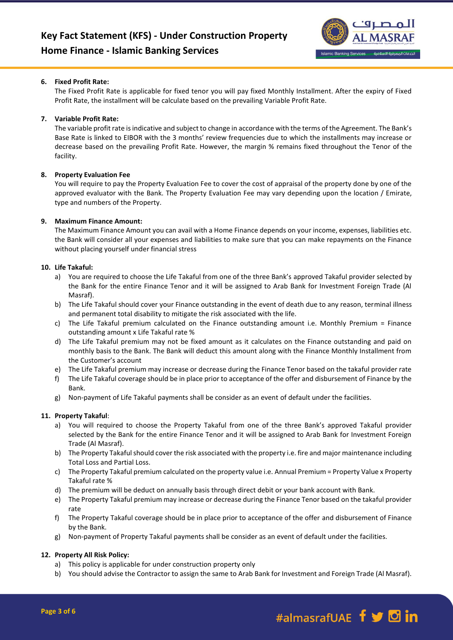

# **6. Fixed Profit Rate:**

The Fixed Profit Rate is applicable for fixed tenor you will pay fixed Monthly Installment. After the expiry of Fixed Profit Rate, the installment will be calculate based on the prevailing Variable Profit Rate.

# **7. Variable Profit Rate:**

The variable profit rate is indicative and subject to change in accordance with the terms of the Agreement. The Bank's Base Rate is linked to EIBOR with the 3 months' review frequencies due to which the installments may increase or decrease based on the prevailing Profit Rate. However, the margin % remains fixed throughout the Tenor of the facility.

# **8. Property Evaluation Fee**

You will require to pay the Property Evaluation Fee to cover the cost of appraisal of the property done by one of the approved evaluator with the Bank. The Property Evaluation Fee may vary depending upon the location / Emirate, type and numbers of the Property.

## **9. Maximum Finance Amount:**

The Maximum Finance Amount you can avail with a Home Finance depends on your income, expenses, liabilities etc. the Bank will consider all your expenses and liabilities to make sure that you can make repayments on the Finance without placing yourself under financial stress

## **10. Life Takaful:**

- a) You are required to choose the Life Takaful from one of the three Bank's approved Takaful provider selected by the Bank for the entire Finance Tenor and it will be assigned to Arab Bank for Investment Foreign Trade (Al Masraf).
- b) The Life Takaful should cover your Finance outstanding in the event of death due to any reason, terminal illness and permanent total disability to mitigate the risk associated with the life.
- c) The Life Takaful premium calculated on the Finance outstanding amount i.e. Monthly Premium = Finance outstanding amount x Life Takaful rate %
- d) The Life Takaful premium may not be fixed amount as it calculates on the Finance outstanding and paid on monthly basis to the Bank. The Bank will deduct this amount along with the Finance Monthly Installment from the Customer's account
- e) The Life Takaful premium may increase or decrease during the Finance Tenor based on the takaful provider rate
- f) The Life Takaful coverage should be in place prior to acceptance of the offer and disbursement of Finance by the Bank.
- g) Non-payment of Life Takaful payments shall be consider as an event of default under the facilities.

## **11. Property Takaful**:

- a) You will required to choose the Property Takaful from one of the three Bank's approved Takaful provider selected by the Bank for the entire Finance Tenor and it will be assigned to Arab Bank for Investment Foreign Trade (Al Masraf).
- b) The Property Takaful should cover the risk associated with the property i.e. fire and major maintenance including Total Loss and Partial Loss.
- c) The Property Takaful premium calculated on the property value i.e. Annual Premium = Property Value x Property Takaful rate %
- d) The premium will be deduct on annually basis through direct debit or your bank account with Bank.
- e) The Property Takaful premium may increase or decrease during the Finance Tenor based on the takaful provider rate
- f) The Property Takaful coverage should be in place prior to acceptance of the offer and disbursement of Finance by the Bank.
- g) Non-payment of Property Takaful payments shall be consider as an event of default under the facilities.

# **12. Property All Risk Policy:**

- a) This policy is applicable for under construction property only
- b) You should advise the Contractor to assign the same to Arab Bank for Investment and Foreign Trade (Al Masraf).

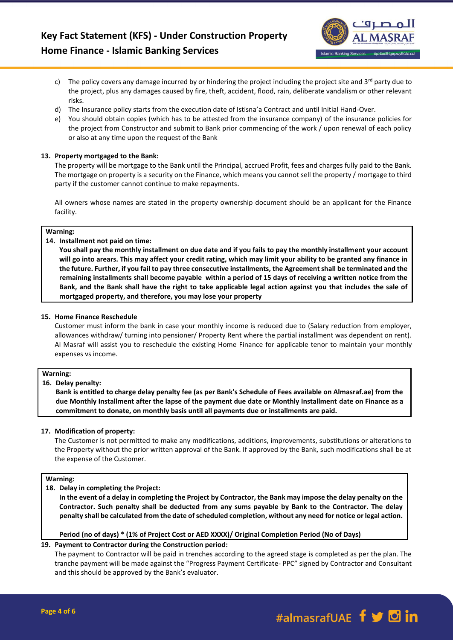

- c) The policy covers any damage incurred by or hindering the project including the project site and  $3^{rd}$  party due to the project, plus any damages caused by fire, theft, accident, flood, rain, deliberate vandalism or other relevant risks.
- d) The Insurance policy starts from the execution date of Istisna'a Contract and until Initial Hand-Over.
- e) You should obtain copies (which has to be attested from the insurance company) of the insurance policies for the project from Constructor and submit to Bank prior commencing of the work / upon renewal of each policy or also at any time upon the request of the Bank

# **13. Property mortgaged to the Bank:**

The property will be mortgage to the Bank until the Principal, accrued Profit, fees and charges fully paid to the Bank. The mortgage on property is a security on the Finance, which means you cannot sell the property / mortgage to third party if the customer cannot continue to make repayments.

All owners whose names are stated in the property ownership document should be an applicant for the Finance facility.

## **Warning:**

# **14. Installment not paid on time:**

**You shall pay the monthly installment on due date and if you fails to pay the monthly installment your account will go into arears. This may affect your credit rating, which may limit your ability to be granted any finance in the future. Further, if you fail to pay three consecutive installments, the Agreement shall be terminated and the remaining installments shall become payable within a period of 15 days of receiving a written notice from the Bank, and the Bank shall have the right to take applicable legal action against you that includes the sale of mortgaged property, and therefore, you may lose your property**

# **15. Home Finance Reschedule**

Customer must inform the bank in case your monthly income is reduced due to (Salary reduction from employer, allowances withdraw/ turning into pensioner/ Property Rent where the partial installment was dependent on rent). Al Masraf will assist you to reschedule the existing Home Finance for applicable tenor to maintain your monthly expenses vs income.

#### **Warning:**

# **16. Delay penalty:**

**Bank is entitled to charge delay penalty fee (as per Bank's Schedule of Fees available on Almasraf.ae) from the due Monthly Installment after the lapse of the payment due date or Monthly Installment date on Finance as a commitment to donate, on monthly basis until all payments due or installments are paid.** 

# **17. Modification of property:**

The Customer is not permitted to make any modifications, additions, improvements, substitutions or alterations to the Property without the prior written approval of the Bank. If approved by the Bank, such modifications shall be at the expense of the Customer.

#### **Warning:**

# **18. Delay in completing the Project:**

**In the event of a delay in completing the Project by Contractor, the Bank may impose the delay penalty on the Contractor. Such penalty shall be deducted from any sums payable by Bank to the Contractor. The delay penalty shall be calculated from the date of scheduled completion, without any need for notice or legal action.**

# **Period (no of days) \* (1% of Project Cost or AED XXXX)/ Original Completion Period (No of Days)**

# **19. Payment to Contractor during the Construction period:**

The payment to Contractor will be paid in trenches according to the agreed stage is completed as per the plan. The tranche payment will be made against the "Progress Payment Certificate- PPC" signed by Contractor and Consultant and this should be approved by the Bank's evaluator.

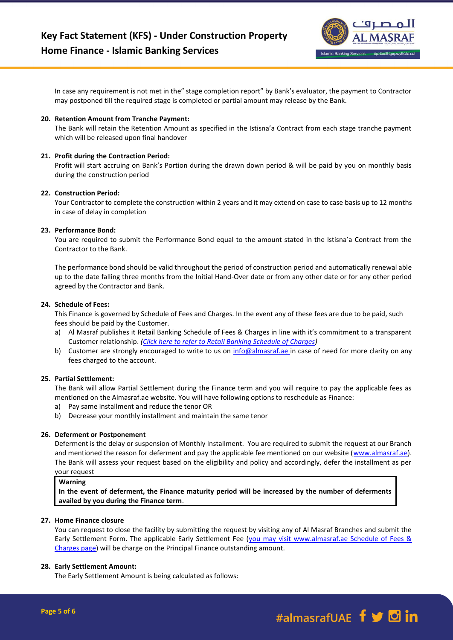

In case any requirement is not met in the" stage completion report" by Bank's evaluator, the payment to Contractor may postponed till the required stage is completed or partial amount may release by the Bank.

## **20. Retention Amount from Tranche Payment:**

The Bank will retain the Retention Amount as specified in the Istisna'a Contract from each stage tranche payment which will be released upon final handover

## **21. Profit during the Contraction Period:**

Profit will start accruing on Bank's Portion during the drawn down period & will be paid by you on monthly basis during the construction period

## **22. Construction Period:**

Your Contractor to complete the construction within 2 years and it may extend on case to case basis up to 12 months in case of delay in completion

## **23. Performance Bond:**

You are required to submit the Performance Bond equal to the amount stated in the Istisna'a Contract from the Contractor to the Bank.

The performance bond should be valid throughout the period of construction period and automatically renewal able up to the date falling three months from the Initial Hand-Over date or from any other date or for any other period agreed by the Contractor and Bank.

## **24. Schedule of Fees:**

This Finance is governed by Schedule of Fees and Charges. In the event any of these fees are due to be paid, such fees should be paid by the Customer.

- a) Al Masraf publishes it Retail Banking Schedule of Fees & Charges in line with it's commitment to a transparent Customer relationship. *[\(Click here to refer to Retail Banking Schedule of Charges\)](https://almasraf.ae/schedule-of-charges/)*
- b) Customer are strongly encouraged to write to us on [info@almasraf.ae](mailto:info@almasraf.ae) in case of need for more clarity on any fees charged to the account.

# **25. Partial Settlement:**

The Bank will allow Partial Settlement during the Finance term and you will require to pay the applicable fees as mentioned on the Almasraf.ae website. You will have following options to reschedule as Finance:

- a) Pay same installment and reduce the tenor OR
- b) Decrease your monthly installment and maintain the same tenor

#### **26. Deferment or Postponement**

Deferment is the delay or suspension of Monthly Installment. You are required to submit the request at our Branch and mentioned the reason for deferment and pay the applicable fee mentioned on our website [\(www.almasraf.ae\)](http://www.almasraf.ae/). The Bank will assess your request based on the eligibility and policy and accordingly, defer the installment as per

# your request

**Warning**

**In the event of deferment, the Finance maturity period will be increased by the number of deferments availed by you during the Finance term**.

## **27. Home Finance closure**

You can request to close the facility by submitting the request by visiting any of Al Masraf Branches and submit the Early Settlement Form. The applicable Early Settlement Fee (you may visit www.almasraf.ae Schedule of Fees & Charges page) will be charge on the Principal Finance outstanding amount.

#### **28. Early Settlement Amount:**

The Early Settlement Amount is being calculated as follows: